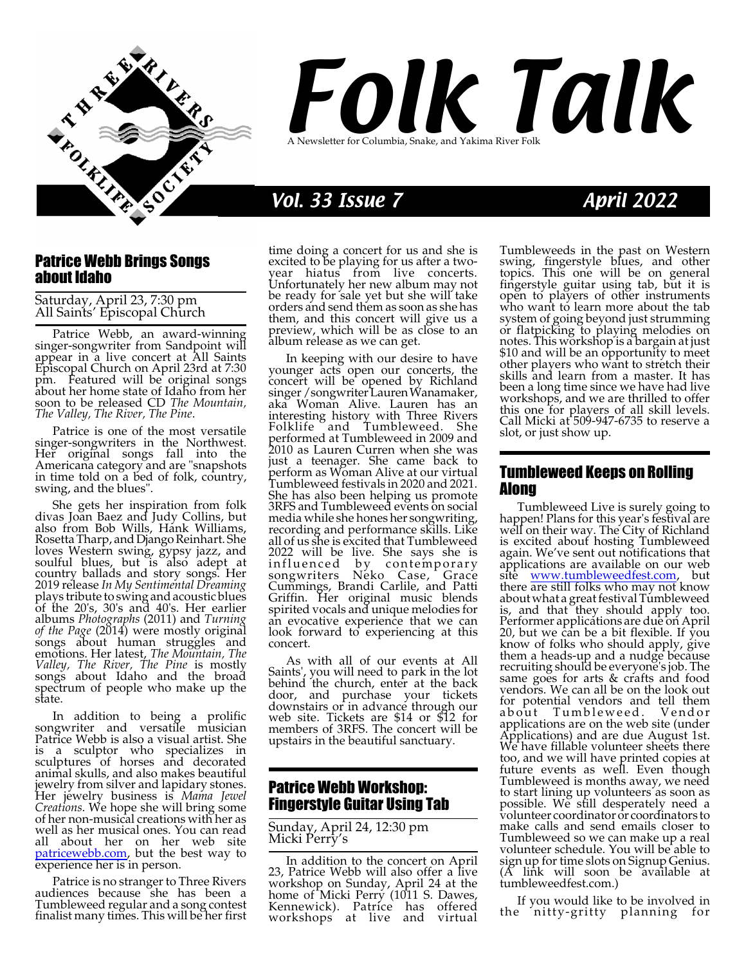

# Folk Talk A Newsletter for Columbia, Snake, and Yakima River Folk

# Vol. 33 Issue 7 April 2022

## Patrice Webb Brings Songs about Idaho

Saturday, April 23, 7:30 pm All Saints' Episcopal Church

Patrice Webb, an award-winning singer-songwriter from Sandpoint will appear in a live concert at All Saints Episcopal Church on April 23rd at 7:30 pm. Featured will be original songs about her home state of Idaho from her soon to be released CD *The Mountain, The Valley, The River, The Pine*.

Patrice is one of the most versatile singer-songwriters in the Northwest. Her original songs fall into the Americana category and are "snapshots in time told on a bed of folk, country, swing, and the blues".

She gets her inspiration from folk divas Joan Baez and Judy Collins, but also from Bob Wills, Hank Williams, RosettaTharp, and Django Reinhart. She loves Western swing, gypsy jazz, and soulful blues, but is also adept at country ballads and story songs. Her 2019 release *In My Sentimental Dreaming* plays tribute to swingand acoustic blues of the 20's, 30's and 40's. Her earlier albums *Photographs* (2011) and *Turning of the Page* (2014) were mostly original songs about human struggles and emotions. Her latest, *The Mountain, The Valley, The River, The Pine* is mostly songs about Idaho and the broad spectrum of people who make up the state.

In addition to being a prolific songwriter and versatile musician Patrice Webb is also a visual artist. She is a sculptor who specializes in sculptures of horses and decorated animal skulls, and also makes beautiful jewelry from silver and lapidary stones. Her jewelry business is *Mama Jewel Creations*. We hope she will bring some of her non-musical creations with her as well as her musical ones. You can read all about her on her web site [patricewebb.com](https://patricewebb.com), but the best way to experience her is in person.

Patrice is no stranger to Three Rivers audiences because she has been a Tumbleweed regular and a song contest finalist many times. This will be her first time doing a concert for us and she is excited to be playing for us after a twoyear hiatus from live concerts. Unfortunately her new album may not be ready for sale yet but she will take orders and send them as soon as she has them, and this concert will give us a preview, which will be as close to an album release as we can get.

In keeping with our desire to have younger acts open our concerts, the concert will be opened by Richland singer/songwriterLaurenWanamaker, aka Woman Alive. Lauren has an interesting history with Three Rivers Folklife and Tumbleweed. She performed at Tumbleweed in 2009 and 2010 as Lauren Curren when she was just a teenager. She came back to perform as Woman Alive at our virtual Tumbleweed festivals in 2020 and 2021. She has also been helping us promote 3RFS and Tumbleweed events on social media while she hones her songwriting, recording and performance skills. Like all of us she is excited that Tumbleweed 2022 will be live. She says she is influenced by contemporary songwriters Neko Case, Grace Cummings, Brandi Carlile, and Patti Griffin. Her original music blends spirited vocals and unique melodies for an evocative experience that we can look forward to experiencing at this concert.

As with all of our events at All Saints', you will need to park in the lot behind the church, enter at the back door, and purchase your tickets downstairs or in advance through our web site. Tickets are \$14 or \$12 for members of 3RFS. The concert will be upstairs in the beautiful sanctuary.

# Patrice Webb Workshop: Fingerstyle Guitar Using Tab

#### Sunday, April 24, 12:30 pm Micki Perry's

In addition to the concert on April 23, Patrice Webb will also offer a live workshop on Sunday, April 24 at the home of Micki Perry (1011 S. Dawes, Kennewick). Patrice has offered workshops at live and virtual

Tumbleweeds in the past on Western swing, fingerstyle blues, and other topics. This one will be on general fingerstyle guitar using tab, but it is open to players of other instruments who want to learn more about the tab system of going beyond just strumming or flatpicking to playing melodies on notes. This workshop is a bargain at just \$10 and will be an opportunity to meet other players who want to stretch their skills and learn from a master. It has been a long time since we have had live workshops, and we are thrilled to offer this one for players of all skill levels. Call Micki at 509-947-6735 to reserve a slot, or just show up.

# Tumbleweed Keeps on Rolling Along

Tumbleweed Live is surely going to happen! Plans for this year's festival are well on their way. The City of Richland is excited about hosting Tumbleweed again. We've sent out notifications that applications are available on our web site [www.tumbleweedfest.com](http://www.tumbleweedfest.com), but there are still folks who may not know about what a great festival Tumbleweed is, and that they should apply too. Performer applications are due on April 20, but we can be a bit flexible. If you know of folks who should apply, give them a heads-up and a nudge because recruiting should be everyone's job. The same goes for arts & crafts and food vendors. We can all be on the look out for potential vendors and tell them about Tumbleweed. Vendor applications are on the web site (under Applications) and are due August 1st. We have fillable volunteer sheets there too, and we will have printed copies at future events as well. Even though Tumbleweed is months away, we need to start lining up volunteers as soon as possible. We still desperately need a volunteer coordinator or coordinators to make calls and send emails closer to Tumbleweed so we can make up a real volunteer schedule. You will be able to sign up for time slots on Signup Genius. (A link will soon be available at tumbleweedfest.com.)

If you would like to be involved in the nitty-gritty planning for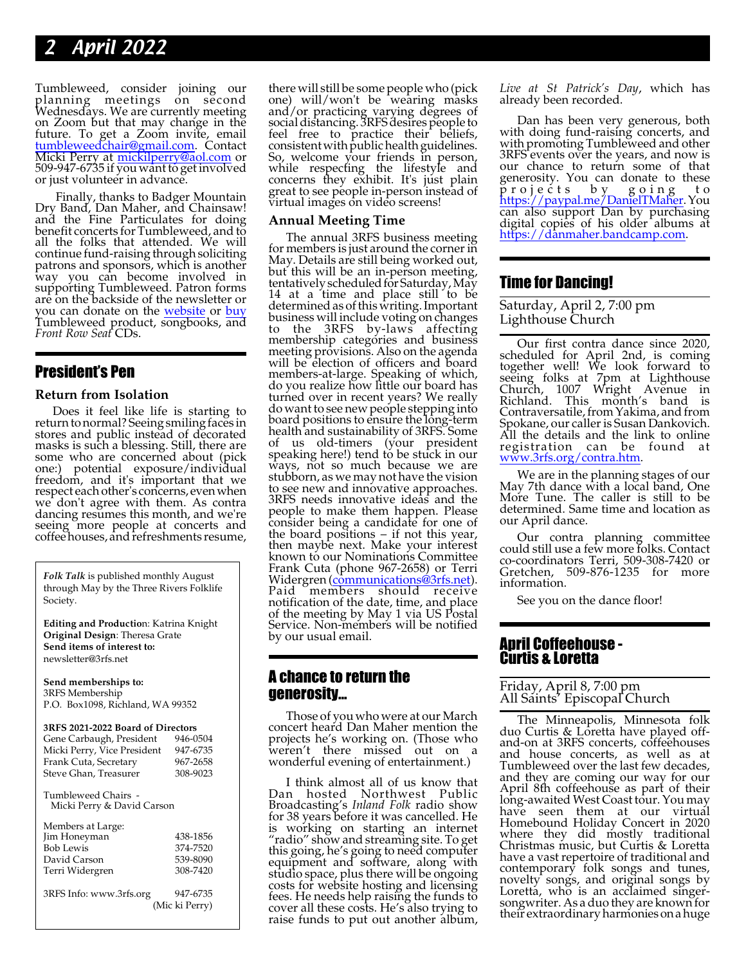# 2 April 2022

Tumbleweed, consider joining our planning meetings on second Wednesdays. We are currently meeting on Zoom but that may change in the future. To get a Zoom invite, email [tumbleweedchair@gmail.com](mailto://tumbleweedchair@gmail.com). Contact Micki Perry at [mickilperry@aol.com](mailto://mickilperry@aol.com) or 509-947-6735 if you want to get involved or just volunteer in advance.

Finally, thanks to Badger Mountain Dry Band, Dan Maher, and Chainsaw! and the Fine Particulates for doing benefit concerts for Tumbleweed, and to all the folks that attended. We will continue fund-raising throughsoliciting patrons and sponsors, which is another way you can become involved in supporting Tumbleweed. Patron forms are on the backside of the newsletter or you can donate on the [website](http://www.tumbleweedfest.com/donate-to-tmf.html) or [buy](https://tumbleweedmusicfestival.org/store/) Tumbleweed product, songbooks, and *Front Row Seat* CDs.

# President's Pen

#### **Return from Isolation**

Does it feel like life is starting to return tonormal? Seeing smiling faces in stores and public instead of decorated masks is such a blessing. Still, there are some who are concerned about (pick one:) potential exposure/individual freedom, and it's important that we respect each other's concerns, evenwhen we don't agree with them. As contra dancing resumes this month, and we're seeing more people at concerts and coffeehouses, and refreshments resume,

*Folk Talk* is published monthly August through May by the Three Rivers Folklife Society.

**Editing and Productio**n: Katrina Knight **Original Design**: Theresa Grate **Send items of interest to:** newsletter@3rfs.net

**Send memberships to:** 3RFS Membership P.O. Box1098, Richland, WA 99352

#### **3RFS 2021-2022 Board of Directors**

| Gene Carbaugh, President                          | 946-0504 |  |  |
|---------------------------------------------------|----------|--|--|
| Micki Perry, Vice President                       | 947-6735 |  |  |
| Frank Cuta, Secretary                             | 967-2658 |  |  |
| Steve Ghan, Treasurer                             | 308-9023 |  |  |
| Tumbleweed Chairs -<br>Micki Perry & David Carson |          |  |  |
|                                                   |          |  |  |

| Members at Large:       |                            |
|-------------------------|----------------------------|
| Jim Honeyman            | 438-1856                   |
| <b>Bob Lewis</b>        | 374-7520                   |
| David Carson            | 539-8090                   |
| Terri Widergren         | 308-7420                   |
| 3RFS Info: www.3rfs.org | 947-6735<br>(Mic ki Perry) |

there will still be some people who (pick one) will/won't be wearing masks and/or practicing varying degrees of socialdistancing. 3RFSdesires people to feel free to practice their beliefs, consistent with public health guidelines. So, welcome your friends in person, while respecting the lifestyle and concerns they exhibit. It's just plain great to see people in-person instead of virtual images on video screens!

#### **Annual Meeting Time**

The annual 3RFS business meeting for members is just around the corner in May. Details are still being worked out, but this will be an in-person meeting, tentatively scheduled for Saturday, May 14 at a time and place still to be determinedas of this writing. Important business will include voting on changes to the 3RFS by-laws affecting membership categories and business meeting provisions. Also on the agenda will be election of officers and board members-at-large. Speaking of which, do you realize how little our board has turned over in recent years? We really do want to see new people stepping into board positions to ensure the long-term health and sustainability of 3RFS. Some of us old-timers (your president speaking here!) tend to be stuck in our ways, not so much because we are stubborn, as we may not have the vision to see new and innovative approaches. 3RFS needs innovative ideas and the people to make them happen. Please consider being a candidate for one of the board positions – if not this year, then maybe next. Make your interest known to our Nominations Committee Frank Cuta (phone 967-2658) or Terri Widergren [\(communications@3rfs.net](mailto://communications@3rfs.net)). Paid members should receive notification of the date, time, and place of the meeting by May 1 via US Postal Service. Non-members will be notified by our usual email.

## A chance to return the generosity...

Those of you who were at our March concert heard Dan Maher mention the projects he's working on. (Those who weren't there missed out on a wonderful evening of entertainment.)

I think almost all of us know that Dan hosted Northwest Public Broadcasting's *Inland Folk* radio show for 38 years before it was cancelled. He is working on starting an internet "radio" show and streaming site. To get this going, he's going to need computer equipment and software, along with studio space, plus there will be ongoing costs for website hosting and licensing fees. He needs help raising the funds to cover all these costs. He's also trying to raise funds to put out another album,

*Live at St Patrick's Day*, which has already been recorded.

Dan has been very generous, both with doing fund-raising concerts, and with promoting Tumbleweed and other 3RFS events over the years, and now is our chance to return some of that generosity. You can donate to these p r o j e c t s b y g o i n g t o <https://paypal.me/DanielTMaher>. You can also support Dan by purchasing digital copies of his older albums at <https://danmaher.bandcamp.com>.

# Time for Dancing!

Saturday, April 2, 7:00 pm Lighthouse Church

Our first contra dance since 2020, scheduled for April 2nd, is coming together well! We look forward to seeing folks at 7pm at Lighthouse Church, 1007 Wright Avenue in Richland. This month's band is Contraversatile, from Yakima, and from Spokane, our caller is Susan Dankovich. All the details and the link to online registration can be found at [www.3rfs.org/contra.htm](https://www.3rfs.org/contra.htm).

We are in the planning stages of our May 7th dance with a local band, One More Tune. The caller is still to be determined. Same time and location as our April dance.

Our contra planning committee could still use a few more folks. Contact co-coordinators Terri, 509-308-7420 or Gretchen, 509-876-1235 for more information.

See you on the dance floor!

#### April Coffeehouse - Curtis & Loretta

#### Friday, April 8, 7:00 pm All Saints' Episcopal Church

The Minneapolis, Minnesota folk duo Curtis & Loretta have played offand-on at 3RFS concerts, coffeehouses and house concerts, as well as at Tumbleweed over the last few decades, and they are coming our way for our April 8th coffeehouse as part of their long-awaited West Coast tour. You may have seen them at our virtual Homebound Holiday Concert in 2020 where they did mostly traditional Christmas music, but Curtis & Loretta have a vast repertoire of traditional and contemporary folk songs and tunes, novelty songs, and original songs by Loretta, who is an acclaimed singersongwriter. As a duo they are known for their extraordinary harmoniesonahuge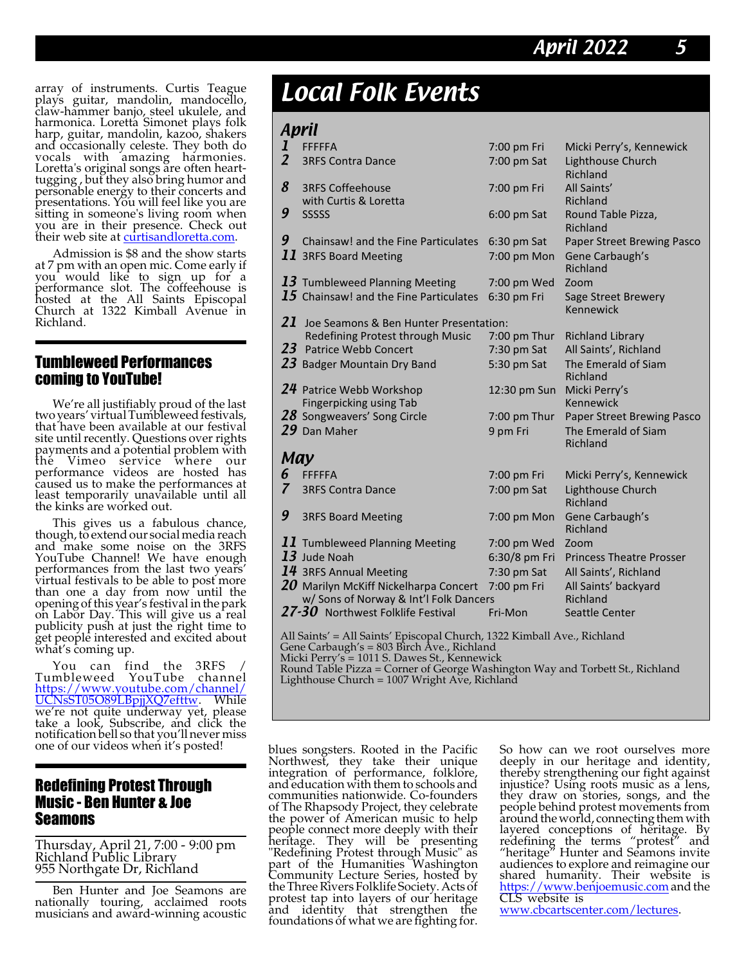array of instruments. Curtis Teague plays guitar, mandolin, mandocello, claw-hammer banjo, steel ukulele, and harmonica. Loretta Simonet plays folk harp, guitar, mandolin, kazoo, shakers and occasionally celeste. They both do vocals with amazing harmonies. Loretta's original songs are often hearttugging , but they also bring humor and personable energy to their concerts and presentations. You will feel like you are sitting in someone's living room when you are in their presence. Check out their web site at [curtisandloretta.com](https://curtisandloretta.com).

Admission is \$8 and the show starts at 7 pm with an open mic. Come early if you would like to sign up for a performance slot. The coffeehouse is hosted at the All Saints Episcopal Church at 1322 Kimball Avenue in Richland.

## Tumbleweed Performances coming to YouTube!

We're all justifiably proud of the last two years' virtual Tumbleweed festivals, that have been available at our festival site until recently. Questions over rights payments and a potential problem with the Vimeo service where our performance videos are hosted has caused us to make the performances at least temporarily unavailable until all the kinks are worked out.

This gives us a fabulous chance, though, to extend our social media reach and make some noise on the 3RFS YouTube Channel! We have enough performances from the last two years' virtual festivals to be able to post more than one a day from now until the opening of this year's festival in the park on Labor Day. This will give us a real publicity push at just the right time to get people interested and excited about what's coming up.

You can find the 3RFS / Tumbleweed YouTube channel [https://www.youtube.com/channel/](https://www.youtube.com/channel/UCNsST05O89LBpjjXQ7efttw) [UCNsST05O89LBpjjXQ7efttw](https://www.youtube.com/channel/UCNsST05O89LBpjjXQ7efttw). While we're not quite underway yet, please take a look, Subscribe, and click the notification bell so that you'll never miss one of our videos when it's posted!

# Redefining Protest Through Music - Ben Hunter & Joe Seamons

Thursday, April 21, 7:00 - 9:00 pm Richland Public Library 955 Northgate Dr, Richland

Ben Hunter and Joe Seamons are nationally touring, acclaimed roots musicians and award-winning acoustic

# Local Folk Events

# Anril

| . .                 |                                                                                                                                      |                                              |                                                                         |  |
|---------------------|--------------------------------------------------------------------------------------------------------------------------------------|----------------------------------------------|-------------------------------------------------------------------------|--|
| l<br>$\overline{2}$ | <b>FFFFFA</b><br><b>3RFS Contra Dance</b>                                                                                            | 7:00 pm Fri<br>7:00 pm Sat                   | Micki Perry's, Kennewick<br>Lighthouse Church                           |  |
| 8                   | <b>3RFS Coffeehouse</b>                                                                                                              | 7:00 pm Fri                                  | Richland<br>All Saints'                                                 |  |
| 9                   | with Curtis & Loretta<br>SSSSS                                                                                                       | $6:00$ pm Sat                                | <b>Richland</b><br>Round Table Pizza,<br>Richland                       |  |
| 9                   | Chainsaw! and the Fine Particulates<br>$\bm{11}$ 3RFS Board Meeting                                                                  | $6:30$ pm Sat<br>7:00 pm Mon                 | Paper Street Brewing Pasco<br>Gene Carbaugh's<br>Richland               |  |
|                     | $13$ Tumbleweed Planning Meeting<br>$15$ Chainsaw! and the Fine Particulates                                                         | 7:00 pm Wed<br>6:30 pm Fri                   | Zoom<br>Sage Street Brewery<br>Kennewick                                |  |
| 21                  | Joe Seamons & Ben Hunter Presentation:                                                                                               |                                              |                                                                         |  |
| 23                  | Redefining Protest through Music<br><b>Patrice Webb Concert</b><br>23 Badger Mountain Dry Band                                       | 7:00 pm Thur<br>$7:30$ pm Sat<br>5:30 pm Sat | <b>Richland Library</b><br>All Saints', Richland<br>The Emerald of Siam |  |
|                     | 24 Patrice Webb Workshop<br><b>Fingerpicking using Tab</b>                                                                           | 12:30 pm Sun                                 | Richland<br>Micki Perry's<br>Kennewick                                  |  |
|                     | 28 Songweavers' Song Circle<br>$29$ Dan Maher                                                                                        | 7:00 pm Thur<br>9 pm Fri                     | <b>Paper Street Brewing Pasco</b><br>The Emerald of Siam<br>Richland    |  |
| May                 |                                                                                                                                      |                                              |                                                                         |  |
| 6                   | <b>FFFFFA</b>                                                                                                                        | 7:00 pm Fri                                  | Micki Perry's, Kennewick                                                |  |
| 7                   | <b>3RFS Contra Dance</b>                                                                                                             | 7:00 pm Sat                                  | Lighthouse Church<br>Richland                                           |  |
| 9                   | <b>3RFS Board Meeting</b>                                                                                                            | 7:00 pm Mon                                  | Gene Carbaugh's<br>Richland                                             |  |
|                     | 11 Tumbleweed Planning Meeting<br>$13$ Jude Noah                                                                                     | 7:00 pm Wed<br>6:30/8 pm Fri                 | Zoom<br><b>Princess Theatre Prosser</b>                                 |  |
|                     | 14 3RFS Annual Meeting                                                                                                               | 7:30 pm Sat                                  | All Saints', Richland                                                   |  |
|                     | $20$ Marilyn McKiff Nickelharpa Concert<br>w/ Sons of Norway & Int'l Folk Dancers                                                    | 7:00 pm Fri                                  | All Saints' backyard<br>Richland                                        |  |
|                     | $27 - 30$ Northwest Folklife Festival                                                                                                | Fri-Mon                                      | <b>Seattle Center</b>                                                   |  |
|                     | All Saints' = All Saints' Episcopal Church, 1322 Kimball Ave., Richland<br>$C$ ana $C$ arbaugh's - 802 First $\lambda$ rs - Bishland |                                              |                                                                         |  |

Gene Carbaugh's = 803 Birch Ave., Richland Micki Perry's = 1011 S. Dawes St., Kennewick Round Table Pizza = Corner of George Washington Way and Torbett St., Richland Lighthouse Church =  $1007$  Wright Ave, Richland

blues songsters. Rooted in the Pacific Northwest, they take their unique integration of performance, folklore, and education with them to schools and communities nationwide. Co-founders of The Rhapsody Project, they celebrate the power of American music to help people connect more deeply with their heritage. They will be presenting "Redefining Protest through Music" as part of the Humanities Washington Community Lecture Series, hosted by theThree Rivers Folklife Society. Acts of protest tap into layers of our heritage and identity that strengthen the foundations of what we are fighting for.

So how can we root ourselves more deeply in our heritage and identity, thereby strengthening our fight against injustice? Using roots music as a lens, they draw on stories, songs, and the people behind protest movements from around the world, connecting them with layered conceptions of heritage. By redefining the terms "protest" and "heritage" Hunter and Seamons invite audiences to explore and reimagine our shared humanity. Their website is <https://www.benjoemusic.com> and the CLS website is [www.cbcartscenter.com/lectures](http://www.cbcartscenter.com/lectures).